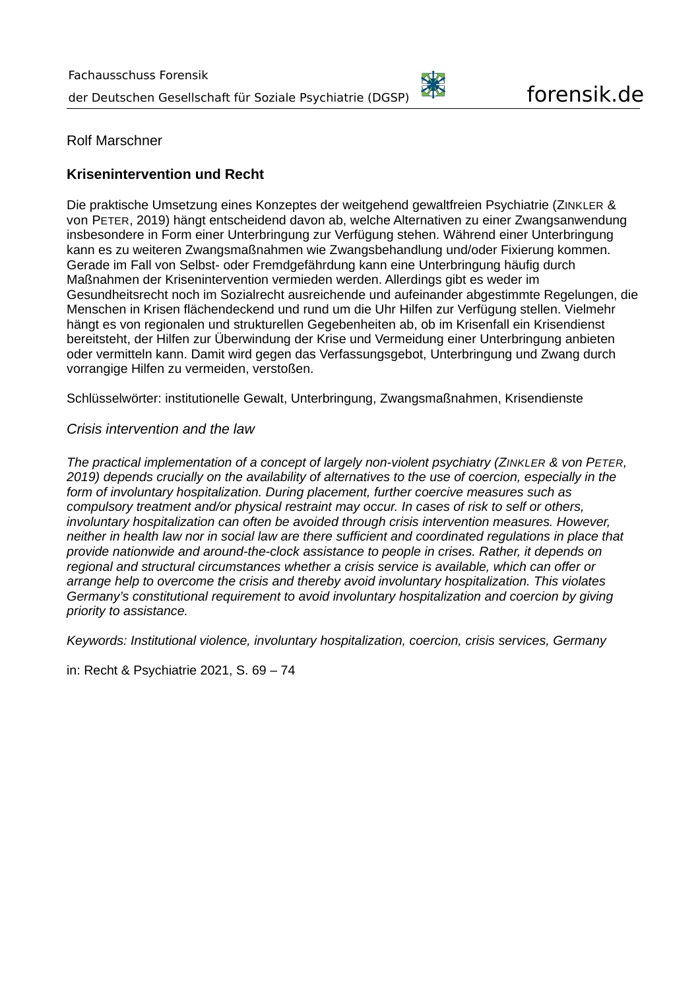

Rolf Marschner

# **Krisenintervention und Recht**

Die praktische Umsetzung eines Konzeptes der weitgehend gewaltfreien Psychiatrie (ZINKLER & von PETER, 2019) hängt entscheidend davon ab, welche Alternativen zu einer Zwangsanwendung insbesondere in Form einer Unterbringung zur Verfügung stehen. Während einer Unterbringung kann es zu weiteren Zwangsmaßnahmen wie Zwangsbehandlung und/oder Fixierung kommen. Gerade im Fall von Selbst- oder Fremdgefährdung kann eine Unterbringung häufig durch Maßnahmen der Krisenintervention vermieden werden. Allerdings gibt es weder im Gesundheitsrecht noch im Sozialrecht ausreichende und aufeinander abgestimmte Regelungen, die Menschen in Krisen flächendeckend und rund um die Uhr Hilfen zur Verfügung stellen. Vielmehr hängt es von regionalen und strukturellen Gegebenheiten ab, ob im Krisenfall ein Krisendienst bereitsteht, der Hilfen zur Überwindung der Krise und Vermeidung einer Unterbringung anbieten oder vermitteln kann. Damit wird gegen das Verfassungsgebot, Unterbringung und Zwang durch vorrangige Hilfen zu vermeiden, verstoßen.

Schlüsselwörter: institutionelle Gewalt, Unterbringung, Zwangsmaßnahmen, Krisendienste

#### *Crisis intervention and the law*

*The practical implementation of a concept of largely non-violent psychiatry (ZINKLER & von PETER, 2019) depends crucially on the availability of alternatives to the use of coercion, especially in the form of involuntary hospitalization. During placement, further coercive measures such as compulsory treatment and/or physical restraint may occur. In cases of risk to self or others, involuntary hospitalization can often be avoided through crisis intervention measures. However, neither in health law nor in social law are there sufficient and coordinated regulations in place that provide nationwide and around-the-clock assistance to people in crises. Rather, it depends on regional and structural circumstances whether a crisis service is available, which can offer or arrange help to overcome the crisis and thereby avoid involuntary hospitalization. This violates Germany's constitutional requirement to avoid involuntary hospitalization and coercion by giving priority to assistance.*

*Keywords: Institutional violence, involuntary hospitalization, coercion, crisis services, Germany*

in: Recht & Psychiatrie 2021, S. 69 – 74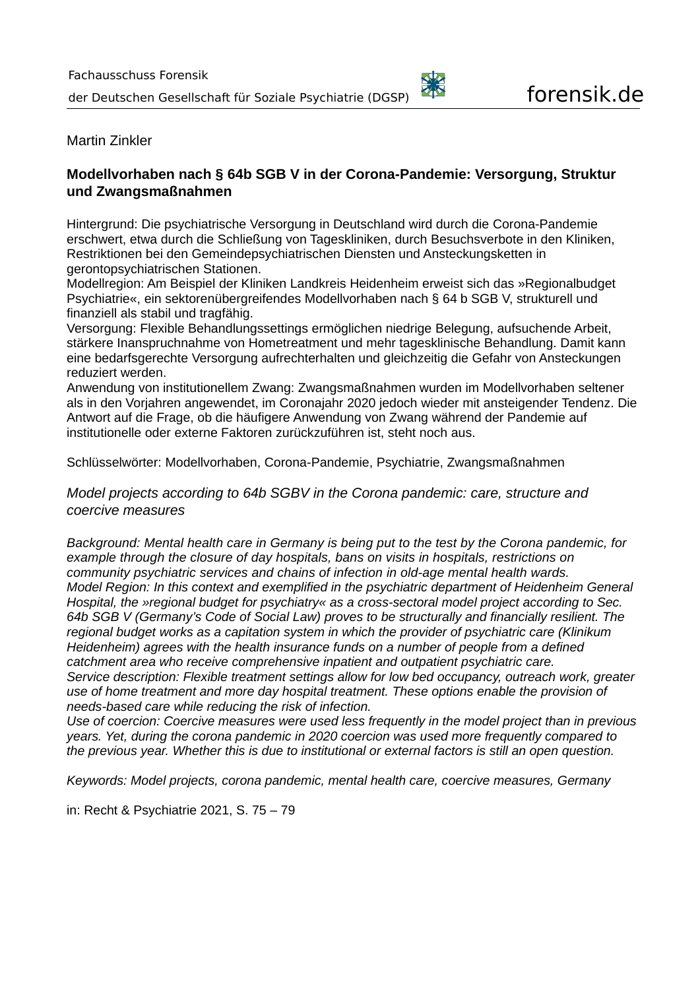Martin Zinkler

### **Modellvorhaben nach § 64b SGB V in der Corona-Pandemie: Versorgung, Struktur und Zwangsmaßnahmen**

Hintergrund: Die psychiatrische Versorgung in Deutschland wird durch die Corona-Pandemie erschwert, etwa durch die Schließung von Tageskliniken, durch Besuchsverbote in den Kliniken, Restriktionen bei den Gemeindepsychiatrischen Diensten und Ansteckungsketten in gerontopsychiatrischen Stationen.

Modellregion: Am Beispiel der Kliniken Landkreis Heidenheim erweist sich das »Regionalbudget Psychiatrie«, ein sektorenübergreifendes Modellvorhaben nach § 64 b SGB V, strukturell und finanziell als stabil und tragfähig.

Versorgung: Flexible Behandlungssettings ermöglichen niedrige Belegung, aufsuchende Arbeit, stärkere Inanspruchnahme von Hometreatment und mehr tagesklinische Behandlung. Damit kann eine bedarfsgerechte Versorgung aufrechterhalten und gleichzeitig die Gefahr von Ansteckungen reduziert werden.

Anwendung von institutionellem Zwang: Zwangsmaßnahmen wurden im Modellvorhaben seltener als in den Vorjahren angewendet, im Coronajahr 2020 jedoch wieder mit ansteigender Tendenz. Die Antwort auf die Frage, ob die häufigere Anwendung von Zwang während der Pandemie auf institutionelle oder externe Faktoren zurückzuführen ist, steht noch aus.

Schlüsselwörter: Modellvorhaben, Corona-Pandemie, Psychiatrie, Zwangsmaßnahmen

*Model projects according to 64b SGBV in the Corona pandemic: care, structure and coercive measures*

*Background: Mental health care in Germany is being put to the test by the Corona pandemic, for example through the closure of day hospitals, bans on visits in hospitals, restrictions on community psychiatric services and chains of infection in old-age mental health wards. Model Region: In this context and exemplified in the psychiatric department of Heidenheim General Hospital, the »regional budget for psychiatry« as a cross-sectoral model project according to Sec. 64b SGB V (Germany's Code of Social Law) proves to be structurally and financially resilient. The regional budget works as a capitation system in which the provider of psychiatric care (Klinikum Heidenheim) agrees with the health insurance funds on a number of people from a defined catchment area who receive comprehensive inpatient and outpatient psychiatric care. Service description: Flexible treatment settings allow for low bed occupancy, outreach work, greater use of home treatment and more day hospital treatment. These options enable the provision of needs-based care while reducing the risk of infection.*

*Use of coercion: Coercive measures were used less frequently in the model project than in previous years. Yet, during the corona pandemic in 2020 coercion was used more frequently compared to the previous year. Whether this is due to institutional or external factors is still an open question.*

*Keywords: Model projects, corona pandemic, mental health care, coercive measures, Germany*

in: Recht & Psychiatrie 2021, S. 75 – 79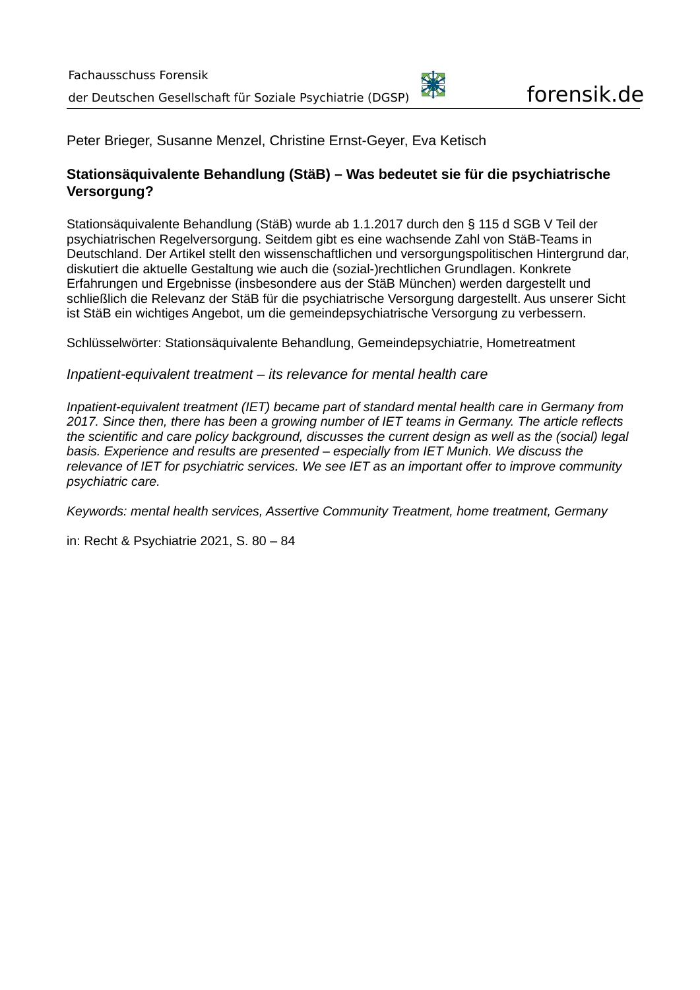Peter Brieger, Susanne Menzel, Christine Ernst-Geyer, Eva Ketisch

# **Stationsäquivalente Behandlung (StäB) – Was bedeutet sie für die psychiatrische Versorgung?**

Stationsäquivalente Behandlung (StäB) wurde ab 1.1.2017 durch den § 115 d SGB V Teil der psychiatrischen Regelversorgung. Seitdem gibt es eine wachsende Zahl von StäB-Teams in Deutschland. Der Artikel stellt den wissenschaftlichen und versorgungspolitischen Hintergrund dar, diskutiert die aktuelle Gestaltung wie auch die (sozial-)rechtlichen Grundlagen. Konkrete Erfahrungen und Ergebnisse (insbesondere aus der StäB München) werden dargestellt und schließlich die Relevanz der StäB für die psychiatrische Versorgung dargestellt. Aus unserer Sicht ist StäB ein wichtiges Angebot, um die gemeindepsychiatrische Versorgung zu verbessern.

Schlüsselwörter: Stationsäquivalente Behandlung, Gemeindepsychiatrie, Hometreatment

*Inpatient-equivalent treatment – its relevance for mental health care*

*Inpatient-equivalent treatment (IET) became part of standard mental health care in Germany from 2017. Since then, there has been a growing number of IET teams in Germany. The article reflects the scientific and care policy background, discusses the current design as well as the (social) legal basis. Experience and results are presented – especially from IET Munich. We discuss the relevance of IET for psychiatric services. We see IET as an important offer to improve community psychiatric care.*

*Keywords: mental health services, Assertive Community Treatment, home treatment, Germany*

in: Recht & Psychiatrie 2021, S. 80 – 84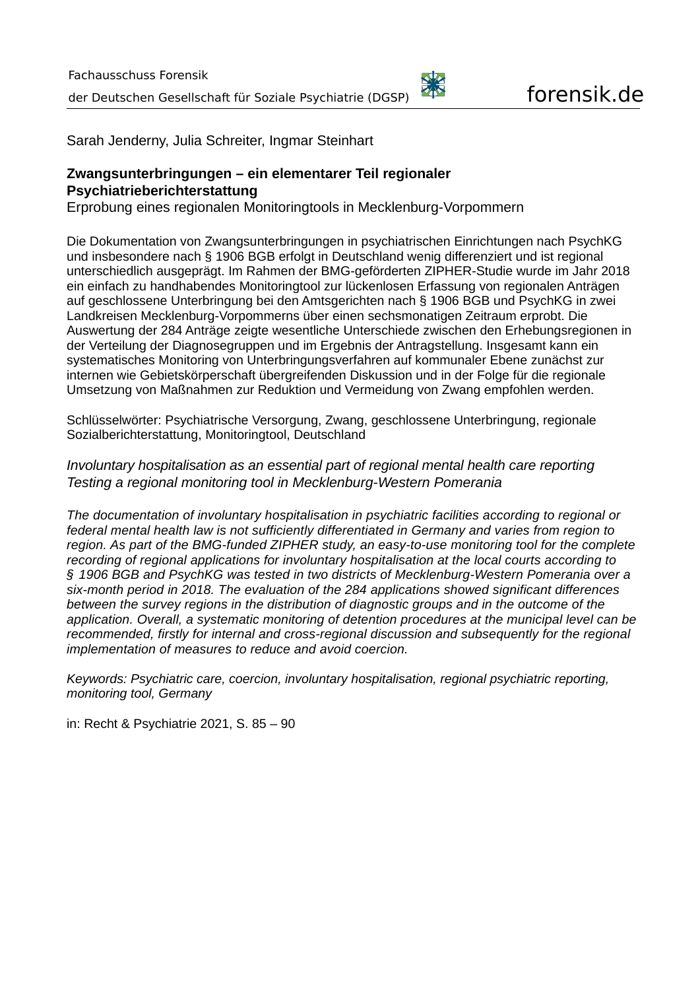

Sarah Jenderny, Julia Schreiter, Ingmar Steinhart

# **Zwangsunterbringungen – ein elementarer Teil regionaler Psychiatrieberichterstattung**

Erprobung eines regionalen Monitoringtools in Mecklenburg-Vorpommern

Die Dokumentation von Zwangsunterbringungen in psychiatrischen Einrichtungen nach PsychKG und insbesondere nach § 1906 BGB erfolgt in Deutschland wenig differenziert und ist regional unterschiedlich ausgeprägt. Im Rahmen der BMG-geförderten ZIPHER-Studie wurde im Jahr 2018 ein einfach zu handhabendes Monitoringtool zur lückenlosen Erfassung von regionalen Anträgen auf geschlossene Unterbringung bei den Amtsgerichten nach § 1906 BGB und PsychKG in zwei Landkreisen Mecklenburg-Vorpommerns über einen sechsmonatigen Zeitraum erprobt. Die Auswertung der 284 Anträge zeigte wesentliche Unterschiede zwischen den Erhebungsregionen in der Verteilung der Diagnosegruppen und im Ergebnis der Antragstellung. Insgesamt kann ein systematisches Monitoring von Unterbringungsverfahren auf kommunaler Ebene zunächst zur internen wie Gebietskörperschaft übergreifenden Diskussion und in der Folge für die regionale Umsetzung von Maßnahmen zur Reduktion und Vermeidung von Zwang empfohlen werden.

Schlüsselwörter: Psychiatrische Versorgung, Zwang, geschlossene Unterbringung, regionale Sozialberichterstattung, Monitoringtool, Deutschland

#### *Involuntary hospitalisation as an essential part of regional mental health care reporting Testing a regional monitoring tool in Mecklenburg-Western Pomerania*

*The documentation of involuntary hospitalisation in psychiatric facilities according to regional or federal mental health law is not sufficiently differentiated in Germany and varies from region to region. As part of the BMG-funded ZIPHER study, an easy-to-use monitoring tool for the complete recording of regional applications for involuntary hospitalisation at the local courts according to § 1906 BGB and PsychKG was tested in two districts of Mecklenburg-Western Pomerania over a six-month period in 2018. The evaluation of the 284 applications showed significant differences between the survey regions in the distribution of diagnostic groups and in the outcome of the application. Overall, a systematic monitoring of detention procedures at the municipal level can be recommended, firstly for internal and cross-regional discussion and subsequently for the regional implementation of measures to reduce and avoid coercion.*

*Keywords: Psychiatric care, coercion, involuntary hospitalisation, regional psychiatric reporting, monitoring tool, Germany*

in: Recht & Psychiatrie 2021, S. 85 – 90